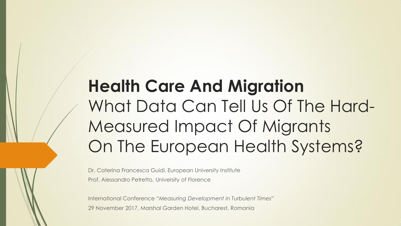# **Health Care And Migration** What Data Can Tell Us Of The Hard-Measured Impact Of Migrants On The European Health Systems?

Dr. Caterina Francesca Guidi, European University Institute Prof. Alessandro Petretto, University of Florence

International Conference "*Measuring Development in Turbulent Times*" 29 November 2017, Marshal Garden Hotel, Bucharest, Romania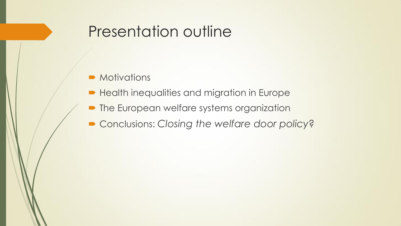#### Presentation outline

- **Motivations**
- **Health inequalities and migration in Europe**
- **The European welfare systems organization**
- Conclusions: *Closing the welfare door policy?*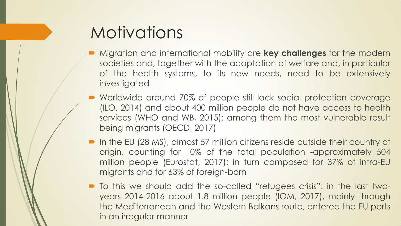#### **Motivations**

- Migration and international mobility are **key challenges** for the modern societies and, together with the adaptation of welfare and, in particular of the health systems, to its new needs, need to be extensively investigated
- Worldwide around 70% of people still lack social protection coverage (ILO, 2014) and about 400 million people do not have access to health services (WHO and WB, 2015): among them the most vulnerable result being migrants (OECD, 2017)
- In the EU (28 MS), almost 57 million citizens reside outside their country of origin, counting for 10% of the total population -approximately 504 million people (Eurostat, 2017); in turn composed for 37% of intra-EU migrants and for 63% of foreign-born
- To this we should add the so-called "refugees crisis": in the last twoyears 2014-2016 about 1.8 million people (IOM, 2017), mainly through the Mediterranean and the Western Balkans route, entered the EU ports in an irregular manner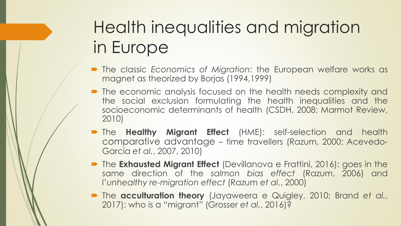# Health inequalities and migration in Europe

- The classic *Economics of Migration*: the European welfare works as magnet as theorized by Borjas (1994,1999)
- The economic analysis focused on the health needs complexity and the social exclusion formulating the health inequalities and the socioeconomic determinants of health (CSDH, 2008; Marmot Review, 2010)
- The **Healthy Migrant Effect** (HME): self-selection and health comparative advantage – time travellers (Razum, 2000; Acevedo-Garcia *et al.*, 2007, 2010)
- **The Exhausted Migrant Effect** (Devillanova e Frattini, 2016): goes in the same direction of the *salmon bias effect* (Razum, 2006) and l'*unhealthy re-migration effect* (Razum *et al.*, 2000)
- The **acculturation theory** (Jayaweera e Quigley, 2010; Brand *et al.*, 2017): who is a "migrant" (Grosser *et al.*, 2016)?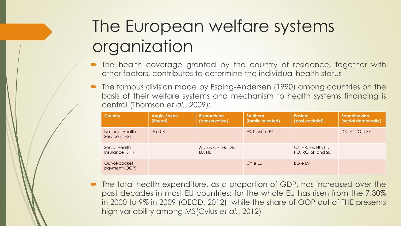#### The European welfare systems organization

- The health coverage granted by the country of residence, together with other factors, contributes to determine the individual health status
- The famous division made by Esping-Andersen (1990) among countries on the basis of their welfare systems and mechanism to health systems financing is central (Thomson *et al.*, 2009):

| <b>Country</b>                   | Anglo-Saxon<br>(liberal) | <b>Bismarckian</b><br>(conservative) | Southern<br>(family oriented) | <b>Eastern</b><br>(post-socialist)       | <b>Scandinavian</b><br>(social democratic) |
|----------------------------------|--------------------------|--------------------------------------|-------------------------------|------------------------------------------|--------------------------------------------|
| National Health<br>Service (NHS) | IE e UK                  |                                      | ES, IT, MT e PT               |                                          | DK, FI, NO e SE                            |
| Social Health<br>Insurance (SHI) |                          | AT, BE, CH, FR, DE,<br>LU, NL        |                               | CZ, HR, EE, HU, LT,<br>PO, RO, SK and SL |                                            |
| Out-of-pocket<br>payment (OOP)   |                          |                                      | CY e EL                       | <b>BG</b> e LV                           |                                            |

 The total health expenditure, as a proportion of GDP, has increased over the past decades in most EU countries: for the whole EU has risen from the 7.30% in 2000 to 9% in 2009 (OECD, 2012), while the share of OOP out of THE presents high variability among MS(Cylus *et al.*, 2012)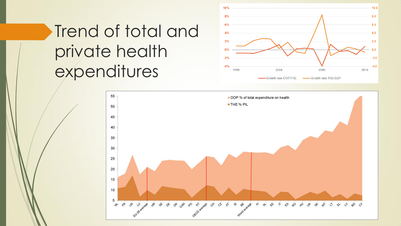# Trend of total and private health expenditures



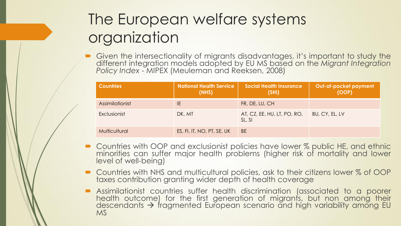#### The European welfare systems organization

 Given the intersectionality of migrants disadvantages, it's important to study the different integration models adopted by EU MS based on the *Migrant Integration Policy Index* - MIPEX (Meuleman and Reeksen, 2008)

| <b>Countries</b> | <b>National Health Service</b><br>(NHS) | <b>Social Health Insurance</b><br>(SHI) | Out-of-pocket payment<br>(OOP) |
|------------------|-----------------------------------------|-----------------------------------------|--------------------------------|
| Assimilationist  | IE.                                     | FR, DE, LU, CH                          |                                |
| Exclusionist     | DK, MT                                  | AT, CZ, EE, HU, LT, PO, RO,<br>SL, SI   | BU, CY, EL, LV                 |
| Multicultural    | ES, FI, IT, NO, PT, SE, UK              | <b>BE</b>                               |                                |

- Countries with OOP and exclusionist policies have lower % public HE, and ethnic minorities can suffer major health problems (higher risk of mortality and lower level of well-being)
- Countries with NHS and multicultural policies, ask to their citizens lower % of OOP taxes contribution granting wider depth of health coverage
- Assimilationist countries suffer health discrimination (associated to a poorer health outcome) for the first generation of migrants, but non among their descendants  $\rightarrow$  fragmented European scenario and high variability among EU MS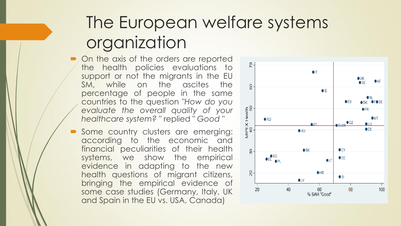#### The European welfare systems organization

- On the axis of the orders are reported the health policies evaluations to support or not the migrants in the EU SM, while on the ascites the percentage of people in the same countries to the question "*How do you evaluate the overall quality of your healthcare system?* " replied " *Good* "
- Some country clusters are emerging: according to the economic and financial peculiarities of their health systems, we show the empirical evidence in adapting to the new health questions of migrant citizens, bringing the empirical evidence of some case studies (Germany, Italy, UK and Spain in the EU vs. USA, Canada)

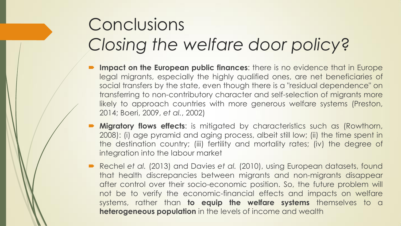#### Conclusions *Closing the welfare door policy*?

- **Impact on the European public finances**: there is no evidence that in Europe legal migrants, especially the highly qualified ones, are net beneficiaries of social transfers by the state, even though there is a "residual dependence" on transferring to non-contributory character and self-selection of migrants more likely to approach countries with more generous welfare systems (Preston, 2014; Boeri, 2009, *et al.*, 2002)
- **Migratory flows effects:** is mitigated by characteristics such as (Rowthorn, 2008): (i) age pyramid and aging process, albeit still low; (ii) the time spent in the destination country; (iii) fertility and mortality rates; (iv) the degree of integration into the labour market
- Rechel *et al.* (2013) and Davies *et al.* (2010), using European datasets, found that health discrepancies between migrants and non-migrants disappear after control over their socio-economic position. So, the future problem will not be to verify the economic-financial effects and impacts on welfare systems, rather than **to equip the welfare systems** themselves to a **heterogeneous population** in the levels of income and wealth